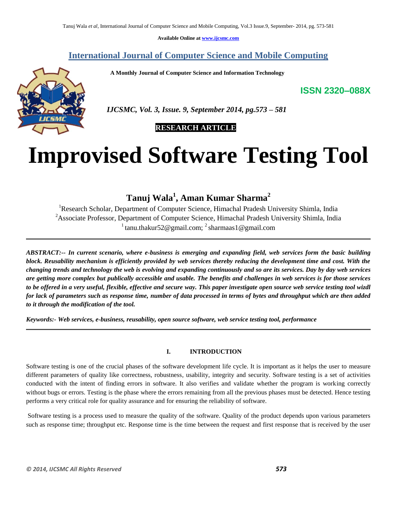**Available Online at www.ijcsmc.com**

# **International Journal of Computer Science and Mobile Computing**

 **A Monthly Journal of Computer Science and Information Technology**

**ISSN 2320–088X**



 *IJCSMC, Vol. 3, Issue. 9, September 2014, pg.573 – 581*

# **RESEARCH ARTICLE**

# **Improvised Software Testing Tool**

# **Tanuj Wala<sup>1</sup> , Aman Kumar Sharma<sup>2</sup>**

<sup>1</sup>Research Scholar, Department of Computer Science, Himachal Pradesh University Shimla, India <sup>2</sup>Associate Professor, Department of Computer Science, Himachal Pradesh University Shimla, India <sup>1</sup> tanu.thakur 52@gmail.com; <sup>2</sup> sharmaas 1@gmail.com

*ABSTRACT:-- In current scenario, where e-business is emerging and expanding field, web services form the basic building block. Reusability mechanism is efficiently provided by web services thereby reducing the development time and cost. With the changing trends and technology the web is evolving and expanding continuously and so are its services. Day by day web services are getting more complex but publically accessible and usable. The benefits and challenges in web services is for those services to be offered in a very useful, flexible, effective and secure way. This paper investigate open source web service testing tool wizdl for lack of parameters such as response time, number of data processed in terms of bytes and throughput which are then added to it through the modification of the tool.*

*Keywords:- Web services, e-business, reusability, open source software, web service testing tool, performance*

#### **I. INTRODUCTION**

Software testing is one of the crucial phases of the software development life cycle. It is important as it helps the user to measure different parameters of quality like correctness, robustness, usability, integrity and security. Software testing is a set of activities conducted with the intent of finding errors in software. It also verifies and validate whether the program is working correctly without bugs or errors. Testing is the phase where the errors remaining from all the previous phases must be detected. Hence testing performs a very critical role for quality assurance and for ensuring the reliability of software.

Software testing is a process used to measure the quality of the software. Quality of the product depends upon various parameters such as response time; throughput etc. Response time is the time between the request and first response that is received by the user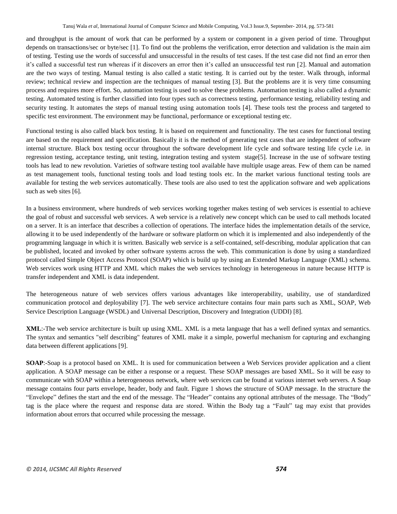and throughput is the amount of work that can be performed by a system or component in a given period of time. Throughput depends on transactions/sec or byte/sec [1]. To find out the problems the verification, error detection and validation is the main aim of testing. Testing use the words of successful and unsuccessful in the results of test cases. If the test case did not find an error then it's called a successful test run whereas if it discovers an error then it's called an unsuccessful test run [2]. Manual and automation are the two ways of testing. Manual testing is also called a static testing. It is carried out by the tester. Walk through, informal review; technical review and inspection are the techniques of manual testing [3]. But the problems are it is very time consuming process and requires more effort. So, automation testing is used to solve these problems. Automation testing is also called a dynamic testing. Automated testing is further classified into four types such as correctness testing, performance testing, reliability testing and security testing. It automates the steps of manual testing using automation tools [4]. These tools test the process and targeted to specific test environment. The environment may be functional, performance or exceptional testing etc.

Functional testing is also called black box testing. It is based on requirement and functionality. The test cases for functional testing are based on the requirement and specification. Basically it is the method of generating test cases that are independent of software internal structure. Black box testing occur throughout the software development life cycle and software testing life cycle i.e. in regression testing, acceptance testing, unit testing, integration testing and system stage[5]. Increase in the use of software testing tools has lead to new revolution. Varieties of software testing tool available have multiple usage areas. Few of them can be named as test management tools, functional testing tools and load testing tools etc. In the market various functional testing tools are available for testing the web services automatically. These tools are also used to test the application software and web applications such as web sites [6].

In a business environment, where hundreds of web services working together makes testing of web services is essential to achieve the goal of robust and successful web services. A web service is a relatively new concept which can be used to call methods located on a server. It is an interface that describes a collection of operations. The interface hides the implementation details of the service, allowing it to be used independently of the hardware or software platform on which it is implemented and also independently of the programming language in which it is written. Basically web service is a self-contained, self-describing, modular application that can be published, located and invoked by other software systems across the web. This communication is done by using a standardized protocol called Simple Object Access Protocol (SOAP) which is build up by using an Extended Markup Language (XML) schema. Web services work using HTTP and XML which makes the web services technology in heterogeneous in nature because HTTP is transfer independent and XML is data independent.

The heterogeneous nature of web services offers various advantages like interoperability, usability, use of standardized communication protocol and deployability [7]. The web service architecture contains four main parts such as XML, SOAP, Web Service Description Language (WSDL) and Universal Description, Discovery and Integration (UDDI) [8].

**XML**:-The web service architecture is built up using XML. XML is a meta language that has a well defined syntax and semantics. The syntax and semantics "self describing" features of XML make it a simple, powerful mechanism for capturing and exchanging data between different applications [9].

**SOAP**:-Soap is a protocol based on XML. It is used for communication between a Web Services provider application and a client application. A SOAP message can be either a response or a request. These SOAP messages are based XML. So it will be easy to communicate with SOAP within a heterogeneous network, where web services can be found at various internet web servers. A Soap message contains four parts envelope, header, body and fault. Figure 1 shows the structure of SOAP message. In the structure the "Envelope" defines the start and the end of the message. The "Header" contains any optional attributes of the message. The "Body" tag is the place where the request and response data are stored. Within the Body tag a "Fault" tag may exist that provides information about errors that occurred while processing the message.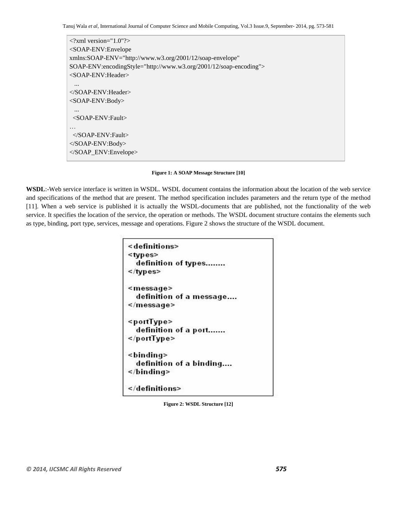Tanuj Wala *et al*, International Journal of Computer Science and Mobile Computing, Vol.3 Issue.9, September- 2014, pg. 573-581

 $\langle$ ?xml version="1.0"?> <SOAP-ENV:Envelope xmlns:SOAP-ENV="http://www.w3.org/2001/12/soap-envelope" SOAP-ENV:encodingStyle="http://www.w3.org/2001/12/soap-encoding"> <SOAP-ENV:Header> ... </SOAP-ENV:Header> <SOAP-ENV:Body> ... <SOAP-ENV:Fault> … </SOAP-ENV:Fault> </SOAP-ENV:Body> </SOAP\_ENV:Envelope>

**Figure 1: A SOAP Message Structure [10]**

**WSDL**:-Web service interface is written in WSDL. WSDL document contains the information about the location of the web service and specifications of the method that are present. The method specification includes parameters and the return type of the method [11]. When a web service is published it is actually the WSDL-documents that are published, not the functionality of the web service. It specifies the location of the service, the operation or methods. The WSDL document structure contains the elements such as type, binding, port type, services, message and operations. Figure 2 shows the structure of the WSDL document.

```
<definitions>
<types>
    definition of types........
\langle /types>
<message>
    definition of a message....
\le/message>
<portType>
    definition of a port.......
</portType>
<br />
shinding<br />
ding<br />
ding<br />
ding<br />
ding<br />
ding<br />
ding<br />
ding<br />
ding<br />
ding<br />
ding<br />
ding<br />
ding<br />
ding<br />
ding<br />
ding<br />
ding<br />
ding<br />
ding<br />
di
    definition of a binding....
</binding>
</definitions>
```
**Figure 2: WSDL Structure [12]**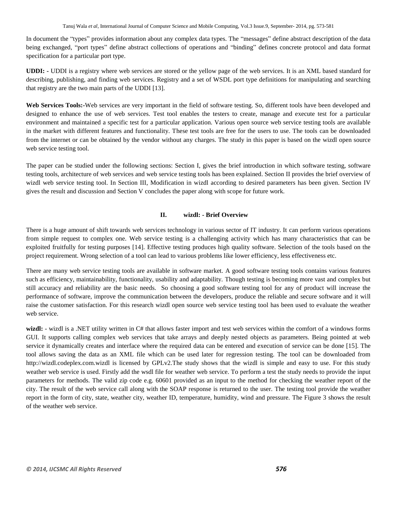In document the "types" provides information about any complex data types. The "messages" define abstract description of the data being exchanged, "port types" define abstract collections of operations and "binding" defines concrete protocol and data format specification for a particular port type.

**UDDI: -** UDDI is a registry where web services are stored or the yellow page of the web services. It is an XML based standard for describing, publishing, and finding web services. Registry and a set of WSDL port type definitions for manipulating and searching that registry are the two main parts of the UDDI [13].

**Web Services Tools:-**Web services are very important in the field of software testing. So, different tools have been developed and designed to enhance the use of web services. Test tool enables the testers to create, manage and execute test for a particular environment and maintained a specific test for a particular application. Various open source web service testing tools are available in the market with different features and functionality. These test tools are free for the users to use. The tools can be downloaded from the internet or can be obtained by the vendor without any charges. The study in this paper is based on the wizdl open source web service testing tool.

The paper can be studied under the following sections: Section I, gives the brief introduction in which software testing, software testing tools, architecture of web services and web service testing tools has been explained. Section II provides the brief overview of wizdl web service testing tool. In Section III, Modification in wizdl according to desired parameters has been given. Section IV gives the result and discussion and Section V concludes the paper along with scope for future work.

#### **II. wizdl: - Brief Overview**

There is a huge amount of shift towards web services technology in various sector of IT industry. It can perform various operations from simple request to complex one. Web service testing is a challenging activity which has many characteristics that can be exploited fruitfully for testing purposes [14]. Effective testing produces high quality software. Selection of the tools based on the project requirement. Wrong selection of a tool can lead to various problems like lower efficiency, less effectiveness etc.

There are many web service testing tools are available in software market. A good software testing tools contains various features such as efficiency, maintainability, functionality, usability and adaptability. Though testing is becoming more vast and complex but still accuracy and reliability are the basic needs. So choosing a good software testing tool for any of product will increase the performance of software, improve the communication between the developers, produce the reliable and secure software and it will raise the customer satisfaction. For this research wizdl open source web service testing tool has been used to evaluate the weather web service.

wizdl: - wizdl is a .NET utility written in C# that allows faster import and test web services within the comfort of a windows forms GUI. It supports calling complex web services that take arrays and deeply nested objects as parameters. Being pointed at web service it dynamically creates and interface where the required data can be entered and execution of service can be done [15]. The tool allows saving the data as an XML file which can be used later for regression testing. The tool can be downloaded from http://wizdl.codeplex.com.wizdl is licensed by GPLv2.The study shows that the wizdl is simple and easy to use. For this study weather web service is used. Firstly add the wsdl file for weather web service. To perform a test the study needs to provide the input parameters for methods. The valid zip code e.g. 60601 provided as an input to the method for checking the weather report of the city. The result of the web service call along with the SOAP response is returned to the user. The testing tool provide the weather report in the form of city, state, weather city, weather ID, temperature, humidity, wind and pressure. The Figure 3 shows the result of the weather web service.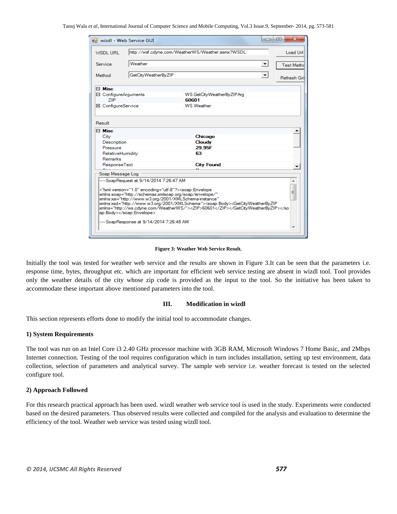| wizdl - Web Service GUI    |                                                                                                                                                                                                                                                   |                                                                                                                                                                                                           | $\Box$               | x<br>▣      |  |  |  |  |  |
|----------------------------|---------------------------------------------------------------------------------------------------------------------------------------------------------------------------------------------------------------------------------------------------|-----------------------------------------------------------------------------------------------------------------------------------------------------------------------------------------------------------|----------------------|-------------|--|--|--|--|--|
| <b>WSDLURL</b>             | http://wsf.cdyne.com/WeatherWS/Weather.asmx?WSDL                                                                                                                                                                                                  |                                                                                                                                                                                                           |                      |             |  |  |  |  |  |
| Service                    | Weather                                                                                                                                                                                                                                           | $\overline{\phantom{a}}$                                                                                                                                                                                  | <b>Test Metho</b>    |             |  |  |  |  |  |
|                            |                                                                                                                                                                                                                                                   |                                                                                                                                                                                                           |                      |             |  |  |  |  |  |
| Method                     | GetCityWeatherByZIP                                                                                                                                                                                                                               |                                                                                                                                                                                                           | $\blacktriangledown$ | Refresh Gri |  |  |  |  |  |
| $\Box$ Misc                |                                                                                                                                                                                                                                                   |                                                                                                                                                                                                           |                      |             |  |  |  |  |  |
| □ ConfigureArguments       |                                                                                                                                                                                                                                                   | W.S.GetCityWeatherByZIPArg                                                                                                                                                                                |                      |             |  |  |  |  |  |
| <b>ZIP</b>                 |                                                                                                                                                                                                                                                   | 60601                                                                                                                                                                                                     |                      |             |  |  |  |  |  |
| <b>El ConfigureService</b> |                                                                                                                                                                                                                                                   | <b>W.S Weather</b>                                                                                                                                                                                        |                      |             |  |  |  |  |  |
| Result                     |                                                                                                                                                                                                                                                   |                                                                                                                                                                                                           |                      |             |  |  |  |  |  |
| $\Box$ Misc                |                                                                                                                                                                                                                                                   |                                                                                                                                                                                                           |                      |             |  |  |  |  |  |
| City                       |                                                                                                                                                                                                                                                   | Chicago                                                                                                                                                                                                   |                      |             |  |  |  |  |  |
| <b>Description</b>         |                                                                                                                                                                                                                                                   | Cloudy                                                                                                                                                                                                    |                      |             |  |  |  |  |  |
| Pressure                   |                                                                                                                                                                                                                                                   | 29.95F                                                                                                                                                                                                    |                      |             |  |  |  |  |  |
| RelativeHumidity           |                                                                                                                                                                                                                                                   | 63                                                                                                                                                                                                        |                      |             |  |  |  |  |  |
| <b>Remarks</b>             |                                                                                                                                                                                                                                                   |                                                                                                                                                                                                           |                      |             |  |  |  |  |  |
| ResponseText               |                                                                                                                                                                                                                                                   | <b>City Found</b>                                                                                                                                                                                         |                      |             |  |  |  |  |  |
| Soap Message Log           |                                                                                                                                                                                                                                                   |                                                                                                                                                                                                           |                      |             |  |  |  |  |  |
|                            | -SoapRequest at 9/14/2014 7:26:47 AM<br>xml version="1.0" encoding="utf-8"? <soap:envelope<br>xmlns:soap="http://schemas.xmlsoap.org/soap/envelope/"<br/>xmlns xsi="http://www.w3.org/2001/XMLSchema-instance"<br/>ap:Body&gt;</soap:envelope<br> | xmlns xsd="http://www.w3.org/2001/XMLSchema"> <soap:body><getcityweatherbyzip<br>xmlns="http://ws.cdyne.com/WeatherWS/"&gt;<zip>60601</zip><td></td><td>▴<br/>Ξ</td></getcityweatherbyzip<br></soap:body> |                      | ▴<br>Ξ      |  |  |  |  |  |
|                            | -SoapResponse at 9/14/2014 7:26:48 AM                                                                                                                                                                                                             |                                                                                                                                                                                                           |                      |             |  |  |  |  |  |

**Figure 3: Weather Web Service Result.**

Initially the tool was tested for weather web service and the results are shown in Figure 3.It can be seen that the parameters i.e. response time, bytes, throughput etc. which are important for efficient web service testing are absent in wizdl tool. Tool provides only the weather details of the city whose zip code is provided as the input to the tool. So the initiative has been taken to accommodate these important above mentioned parameters into the tool.

#### **III. Modification in wizdl**

This section represents efforts done to modify the initial tool to accommodate changes.

#### **1) System Requirements**

The tool was run on an Intel Core i3 2.40 GHz processor machine with 3GB RAM, Microsoft Windows 7 Home Basic, and 2Mbps Internet connection. Testing of the tool requires configuration which in turn includes installation, setting up test environment, data collection, selection of parameters and analytical survey. The sample web service i.e. weather forecast is tested on the selected configure tool.

#### **2) Approach Followed**

For this research practical approach has been used. wizdl weather web service tool is used in the study. Experiments were conducted based on the desired parameters. Thus observed results were collected and compiled for the analysis and evaluation to determine the efficiency of the tool. Weather web service was tested using wizdl tool.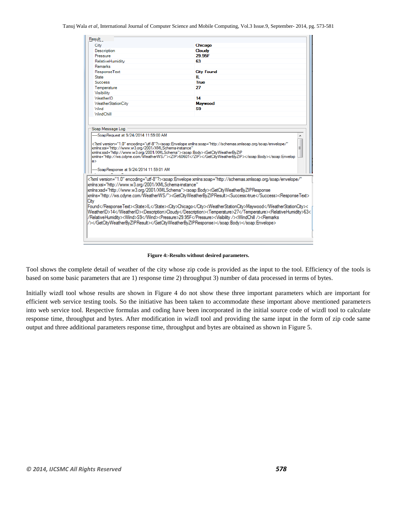Tanuj Wala *et al*, International Journal of Computer Science and Mobile Computing, Vol.3 Issue.9, September- 2014, pg. 573-581

| Result<br>City<br><b>Description</b>   |                                                                                                                                                                                  |  |  |  |  |  |  |
|----------------------------------------|----------------------------------------------------------------------------------------------------------------------------------------------------------------------------------|--|--|--|--|--|--|
|                                        |                                                                                                                                                                                  |  |  |  |  |  |  |
|                                        | Chicago                                                                                                                                                                          |  |  |  |  |  |  |
|                                        | Cloudy                                                                                                                                                                           |  |  |  |  |  |  |
| Pressure                               | 29.95F                                                                                                                                                                           |  |  |  |  |  |  |
| RelativeHumidity                       | 63                                                                                                                                                                               |  |  |  |  |  |  |
| <b>Remarks</b>                         |                                                                                                                                                                                  |  |  |  |  |  |  |
| ResponseText                           | <b>City Found</b>                                                                                                                                                                |  |  |  |  |  |  |
| <b>State</b><br>ш                      |                                                                                                                                                                                  |  |  |  |  |  |  |
| <b>Success</b><br><b>True</b>          |                                                                                                                                                                                  |  |  |  |  |  |  |
| Temperature                            | 27                                                                                                                                                                               |  |  |  |  |  |  |
| Visibility                             |                                                                                                                                                                                  |  |  |  |  |  |  |
| WeatherID                              | 14                                                                                                                                                                               |  |  |  |  |  |  |
| <b>WeatherStationCity</b>              | <b>Maywood</b>                                                                                                                                                                   |  |  |  |  |  |  |
| <b>Wind</b>                            | S9.                                                                                                                                                                              |  |  |  |  |  |  |
| <b>WindChill</b>                       |                                                                                                                                                                                  |  |  |  |  |  |  |
|                                        | xmlns:xsd="http://www.w3.org/2001/XMLSchema"> <soap:bodv><getcitvweatherbvzip<br>kmlns="http://ws.cdvne.com/WeatherWS/"&gt;<zip>60601</zip></getcitvweatherbvzip<br></soap:bodv> |  |  |  |  |  |  |
| le>                                    |                                                                                                                                                                                  |  |  |  |  |  |  |
| -SoapResponse at 9/24/2014 11:59:01 AM | xml version="1.0" encoding="utf-8"? <soap:envelope <="" td="" xmlns:soap="http://schemas.xmlsoap.org/soap/envelope/"></soap:envelope>                                            |  |  |  |  |  |  |

**Figure 4:-Results without desired parameters.**

Tool shows the complete detail of weather of the city whose zip code is provided as the input to the tool. Efficiency of the tools is based on some basic parameters that are 1) response time 2) throughput 3) number of data processed in terms of bytes.

Initially wizdl tool whose results are shown in Figure 4 do not show these three important parameters which are important for efficient web service testing tools. So the initiative has been taken to accommodate these important above mentioned parameters into web service tool. Respective formulas and coding have been incorporated in the initial source code of wizdl tool to calculate response time, throughput and bytes. After modification in wizdl tool and providing the same input in the form of zip code same output and three additional parameters response time, throughput and bytes are obtained as shown in Figure 5.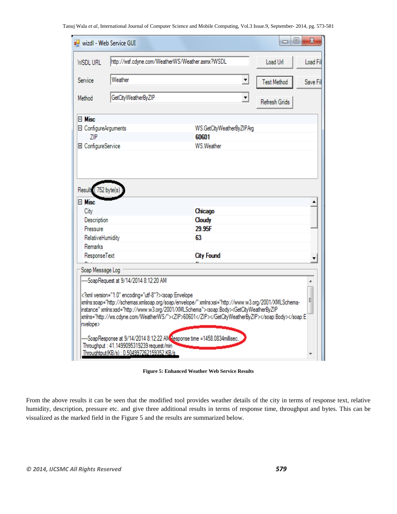|                                         | wizdl - Web Service GUI                                                                                                                                                                                                                                                                                                                                                                                                                            |                                                                                                                                                                                                                                                                                                                       | ▣<br>$\qquad \qquad \Box$ | $\mathbf x$ |  |  |
|-----------------------------------------|----------------------------------------------------------------------------------------------------------------------------------------------------------------------------------------------------------------------------------------------------------------------------------------------------------------------------------------------------------------------------------------------------------------------------------------------------|-----------------------------------------------------------------------------------------------------------------------------------------------------------------------------------------------------------------------------------------------------------------------------------------------------------------------|---------------------------|-------------|--|--|
| <b>WSDLURL</b>                          |                                                                                                                                                                                                                                                                                                                                                                                                                                                    | http://wsf.cdyne.com/WeatherWS/Weather.asmx?WSDL                                                                                                                                                                                                                                                                      |                           |             |  |  |
| Service                                 | Weather                                                                                                                                                                                                                                                                                                                                                                                                                                            | <b>Test Method</b>                                                                                                                                                                                                                                                                                                    | Save Fil                  |             |  |  |
| Method                                  | GetCityWeatherByZIP                                                                                                                                                                                                                                                                                                                                                                                                                                | Refresh Grids                                                                                                                                                                                                                                                                                                         |                           |             |  |  |
| $\boxminus$ Misc                        |                                                                                                                                                                                                                                                                                                                                                                                                                                                    |                                                                                                                                                                                                                                                                                                                       |                           |             |  |  |
| □ ConfigureArguments                    |                                                                                                                                                                                                                                                                                                                                                                                                                                                    | WS.GetCityWeatherByZIPArg                                                                                                                                                                                                                                                                                             |                           |             |  |  |
| ZIP                                     |                                                                                                                                                                                                                                                                                                                                                                                                                                                    | 60601                                                                                                                                                                                                                                                                                                                 |                           |             |  |  |
| 田 ConfigureService                      |                                                                                                                                                                                                                                                                                                                                                                                                                                                    | WS.Weather                                                                                                                                                                                                                                                                                                            |                           |             |  |  |
| $\boxminus$ Misc<br>City<br>Description |                                                                                                                                                                                                                                                                                                                                                                                                                                                    | Chicago<br>Cloudy                                                                                                                                                                                                                                                                                                     |                           |             |  |  |
| Pressure                                |                                                                                                                                                                                                                                                                                                                                                                                                                                                    | 29.95F                                                                                                                                                                                                                                                                                                                |                           |             |  |  |
| RelativeHumidity                        |                                                                                                                                                                                                                                                                                                                                                                                                                                                    | 63                                                                                                                                                                                                                                                                                                                    |                           |             |  |  |
| Remarks<br>ResponseText                 |                                                                                                                                                                                                                                                                                                                                                                                                                                                    | <b>City Found</b>                                                                                                                                                                                                                                                                                                     |                           |             |  |  |
|                                         |                                                                                                                                                                                                                                                                                                                                                                                                                                                    |                                                                                                                                                                                                                                                                                                                       |                           | ▼           |  |  |
| Soap Message Log                        |                                                                                                                                                                                                                                                                                                                                                                                                                                                    |                                                                                                                                                                                                                                                                                                                       |                           |             |  |  |
| nvelope>                                | -SoapRequest at 9/14/2014 8:12:20 AM<br>xml version="1.0" encoding="utf-8"? <soap:envelope< td=""><td>-xmlns:soap="http://schemas.xmlsoap.org/soap/envelope/"xmlns:xsi="http://www.w3.org/2001/XMLSchema<br/>instance" xmlns xsd="http://www.w3.org/2001/XMLSchema"&gt;<soap:body><getcityweatherbyzip<br>kmlns="http://ws.cdyne.com/WeatherWS/"&gt;<zip>60601</zip></getcityweatherbyzip<br></soap:body><td></td><td>Ξ</td></td></soap:envelope<> | -xmlns:soap="http://schemas.xmlsoap.org/soap/envelope/"xmlns:xsi="http://www.w3.org/2001/XMLSchema<br>instance" xmlns xsd="http://www.w3.org/2001/XMLSchema"> <soap:body><getcityweatherbyzip<br>kmlns="http://ws.cdyne.com/WeatherWS/"&gt;<zip>60601</zip></getcityweatherbyzip<br></soap:body> <td></td> <td>Ξ</td> |                           | Ξ           |  |  |
|                                         | Throughput: 41.1499095319239 request/min<br>Throughtput(KB/s): 0.504997262159352 KB/s                                                                                                                                                                                                                                                                                                                                                              | -SoapResponse at 9/14/2014 8:12:22 AMResponse time =1458.0834millisec.                                                                                                                                                                                                                                                |                           |             |  |  |

**Figure 5: Enhanced Weather Web Service Results**

From the above results it can be seen that the modified tool provides weather details of the city in terms of response text, relative humidity, description, pressure etc. and give three additional results in terms of response time, throughput and bytes. This can be visualized as the marked field in the Figure 5 and the results are summarized below.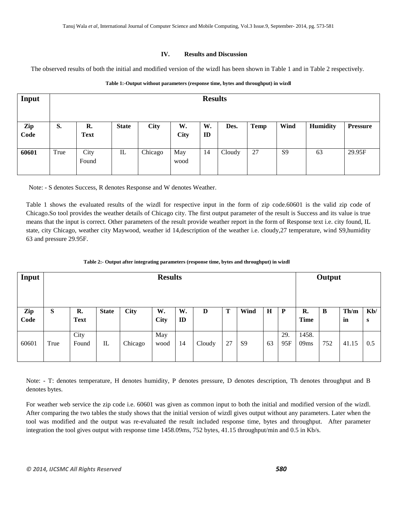#### **IV. Results and Discussion**

The observed results of both the initial and modified version of the wizdl has been shown in Table 1 and in Table 2 respectively.

| Input       | <b>Results</b> |                   |              |             |                   |          |        |             |                |                 |                 |
|-------------|----------------|-------------------|--------------|-------------|-------------------|----------|--------|-------------|----------------|-----------------|-----------------|
| Zip<br>Code | S.             | R.<br><b>Text</b> | <b>State</b> | <b>City</b> | W.<br><b>City</b> | W.<br>ID | Des.   | <b>Temp</b> | Wind           | <b>Humidity</b> | <b>Pressure</b> |
| 60601       | True           | City<br>Found     | IL           | Chicago     | May<br>wood       | 14       | Cloudy | 27          | S <sub>9</sub> | 63              | 29.95F          |

#### **Table 1:-Output without parameters (response time, bytes and throughput) in wizdl**

Note: - S denotes Success, R denotes Response and W denotes Weather.

Table 1 shows the evaluated results of the wizdl for respective input in the form of zip code.60601 is the valid zip code of Chicago.So tool provides the weather details of Chicago city. The first output parameter of the result is Success and its value is true means that the input is correct. Other parameters of the result provide weather report in the form of Response text i.e. city found, IL state, city Chicago, weather city Maywood, weather id 14,description of the weather i.e. cloudy,27 temperature, wind S9,humidity 63 and pressure 29.95F.

| Input       | <b>Results</b> |                   |              |             |                   |          |        |    |                |         | Output       |                   |     |            |          |
|-------------|----------------|-------------------|--------------|-------------|-------------------|----------|--------|----|----------------|---------|--------------|-------------------|-----|------------|----------|
| Zip<br>Code | ${\bf S}$      | R.<br><b>Text</b> | <b>State</b> | <b>City</b> | W.<br><b>City</b> | W.<br>ID | D      | Т  | Wind           | $\bf H$ | $\mathbf{P}$ | R.<br><b>Time</b> | B   | Th/m<br>in | Kb/<br>S |
|             |                |                   |              |             |                   |          |        |    |                |         |              |                   |     |            |          |
| 60601       | True           | City<br>Found     | $\mathbb{L}$ | Chicago     | May<br>wood       | 14       | Cloudy | 27 | S <sub>9</sub> | 63      | 29.<br>95F   | 1458.<br>09ms     | 752 | 41.15      | 0.5      |

#### **Table 2:- Output after integrating parameters (response time, bytes and throughput) in wizdl**

Note: - T: denotes temperature, H denotes humidity, P denotes pressure, D denotes description, Th denotes throughput and B denotes bytes.

For weather web service the zip code i.e. 60601 was given as common input to both the initial and modified version of the wizdl. After comparing the two tables the study shows that the initial version of wizdl gives output without any parameters. Later when the tool was modified and the output was re-evaluated the result included response time, bytes and throughput. After parameter integration the tool gives output with response time 1458.09ms, 752 bytes, 41.15 throughput/min and 0.5 in Kb/s.